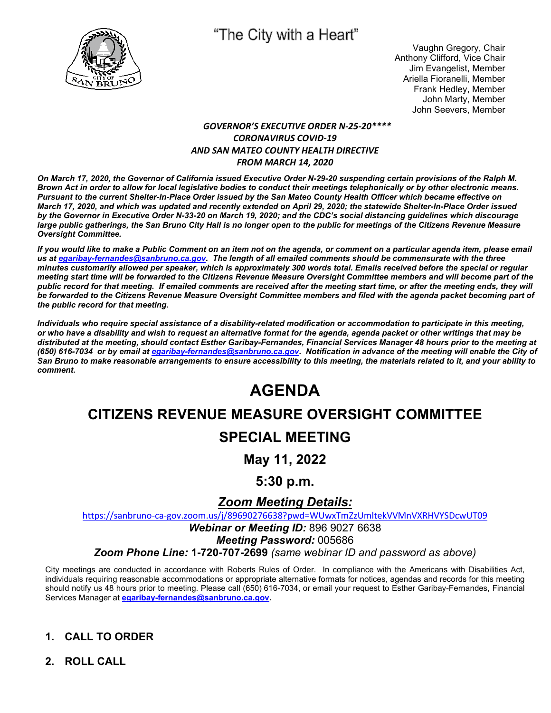

# "The City with a Heart"

Vaughn Gregory, Chair Anthony Clifford, Vice Chair Jim Evangelist, Member Ariella Fioranelli, Member Frank Hedley, Member John Marty, Member John Seevers, Member

#### *GOVERNOR'S EXECUTIVE ORDER N-25-20\*\*\*\* CORONAVIRUS COVID-19 AND SAN MATEO COUNTY HEALTH DIRECTIVE FROM MARCH 14, 2020*

*On March 17, 2020, the Governor of California issued Executive Order N-29-20 suspending certain provisions of the Ralph M. Brown Act in order to allow for local legislative bodies to conduct their meetings telephonically or by other electronic means. Pursuant to the current Shelter-In-Place Order issued by the San Mateo County Health Officer which became effective on March 17, 2020, and which was updated and recently extended on April 29, 2020; the statewide Shelter-In-Place Order issued by the Governor in Executive Order N-33-20 on March 19, 2020; and the CDC's social distancing guidelines which discourage large public gatherings, the San Bruno City Hall is no longer open to the public for meetings of the Citizens Revenue Measure Oversight Committee.* 

*If you would like to make a Public Comment on an item not on the agenda, or comment on a particular agenda item, please email us at egaribay-fernandes@sanbruno.ca.gov. The length of all emailed comments should be commensurate with the three minutes customarily allowed per speaker, which is approximately 300 words total. Emails received before the special or regular meeting start time will be forwarded to the Citizens Revenue Measure Oversight Committee members and will become part of the public record for that meeting. If emailed comments are received after the meeting start time, or after the meeting ends, they will be forwarded to the Citizens Revenue Measure Oversight Committee members and filed with the agenda packet becoming part of the public record for that meeting.* 

*Individuals who require special assistance of a disability-related modification or accommodation to participate in this meeting, or who have a disability and wish to request an alternative format for the agenda, agenda packet or other writings that may be distributed at the meeting, should contact Esther Garibay-Fernandes, Financial Services Manager 48 hours prior to the meeting at (650) 616-7034 or by email at egaribay-fernandes@sanbruno.ca.gov. Notification in advance of the meeting will enable the City of San Bruno to make reasonable arrangements to ensure accessibility to this meeting, the materials related to it, and your ability to comment.* 

# **AGENDA**

# **CITIZENS REVENUE MEASURE OVERSIGHT COMMITTEE**

# **SPECIAL MEETING**

# **May 11, 2022**

## **5:30 p.m.**

## *Zoom Meeting Details:*

https://sanbruno-ca-gov.zoom.us/j/89690276638?pwd=WUwxTmZzUmltekVVMnVXRHVYSDcwUT09

*Webinar or Meeting ID:* 896 9027 6638

*Meeting Password:* 005686

*Zoom Phone Line:* **1-720-707-2699** *(same webinar ID and password as above)*

City meetings are conducted in accordance with Roberts Rules of Order. In compliance with the Americans with Disabilities Act, individuals requiring reasonable accommodations or appropriate alternative formats for notices, agendas and records for this meeting should notify us 48 hours prior to meeting. Please call (650) 616-7034, or email your request to Esther Garibay-Fernandes, Financial Services Manager at **egaribay-fernandes@sanbruno.ca.gov.** 

## **1. CALL TO ORDER**

**2. ROLL CALL**